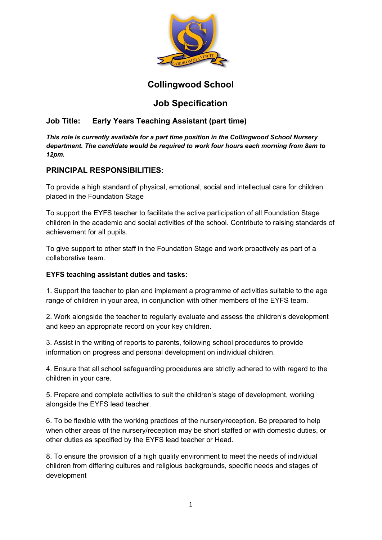

### **Collingwood School**

# **Job Specification**

### **Job Title: Early Years Teaching Assistant (part time)**

*This role is currently available for a part time position in the Collingwood School Nursery department. The candidate would be required to work four hours each morning from 8am to 12pm.*

### **PRINCIPAL RESPONSIBILITIES:**

To provide a high standard of physical, emotional, social and intellectual care for children placed in the Foundation Stage

To support the EYFS teacher to facilitate the active participation of all Foundation Stage children in the academic and social activities of the school. Contribute to raising standards of achievement for all pupils.

To give support to other staff in the Foundation Stage and work proactively as part of a collaborative team.

### **EYFS teaching assistant duties and tasks:**

1. Support the teacher to plan and implement a programme of activities suitable to the age range of children in your area, in conjunction with other members of the EYFS team.

2. Work alongside the teacher to regularly evaluate and assess the children's development and keep an appropriate record on your key children.

3. Assist in the writing of reports to parents, following school procedures to provide information on progress and personal development on individual children.

4. Ensure that all school safeguarding procedures are strictly adhered to with regard to the children in your care.

5. Prepare and complete activities to suit the children's stage of development, working alongside the EYFS lead teacher.

6. To be flexible with the working practices of the nursery/reception. Be prepared to help when other areas of the nursery/reception may be short staffed or with domestic duties, or other duties as specified by the EYFS lead teacher or Head.

8. To ensure the provision of a high quality environment to meet the needs of individual children from differing cultures and religious backgrounds, specific needs and stages of development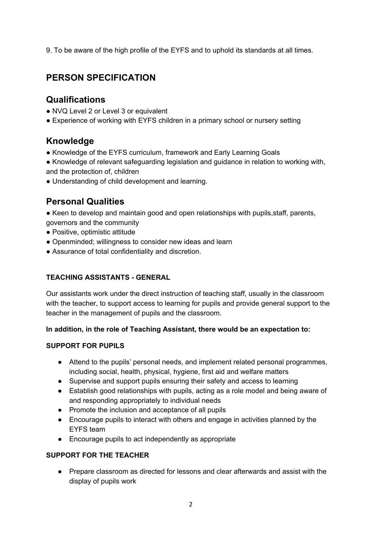9. To be aware of the high profile of the EYFS and to uphold its standards at all times.

# **PERSON SPECIFICATION**

### **Qualifications**

- NVQ Level 2 or Level 3 or equivalent
- Experience of working with EYFS children in a primary school or nursery setting

# **Knowledge**

- Knowledge of the EYFS curriculum, framework and Early Learning Goals
- Knowledge of relevant safeguarding legislation and guidance in relation to working with, and the protection of, children
- Understanding of child development and learning.

## **Personal Qualities**

- Keen to develop and maintain good and open relationships with pupils, staff, parents,
- governors and the community
- Positive, optimistic attitude
- Openminded; willingness to consider new ideas and learn
- Assurance of total confidentiality and discretion.

### **TEACHING ASSISTANTS - GENERAL**

Our assistants work under the direct instruction of teaching staff, usually in the classroom with the teacher, to support access to learning for pupils and provide general support to the teacher in the management of pupils and the classroom.

### **In addition, in the role of Teaching Assistant, there would be an expectation to:**

### **SUPPORT FOR PUPILS**

- Attend to the pupils' personal needs, and implement related personal programmes, including social, health, physical, hygiene, first aid and welfare matters
- Supervise and support pupils ensuring their safety and access to learning
- Establish good relationships with pupils, acting as a role model and being aware of and responding appropriately to individual needs
- Promote the inclusion and acceptance of all pupils
- Encourage pupils to interact with others and engage in activities planned by the EYFS team
- Encourage pupils to act independently as appropriate

### **SUPPORT FOR THE TEACHER**

● Prepare classroom as directed for lessons and clear afterwards and assist with the display of pupils work